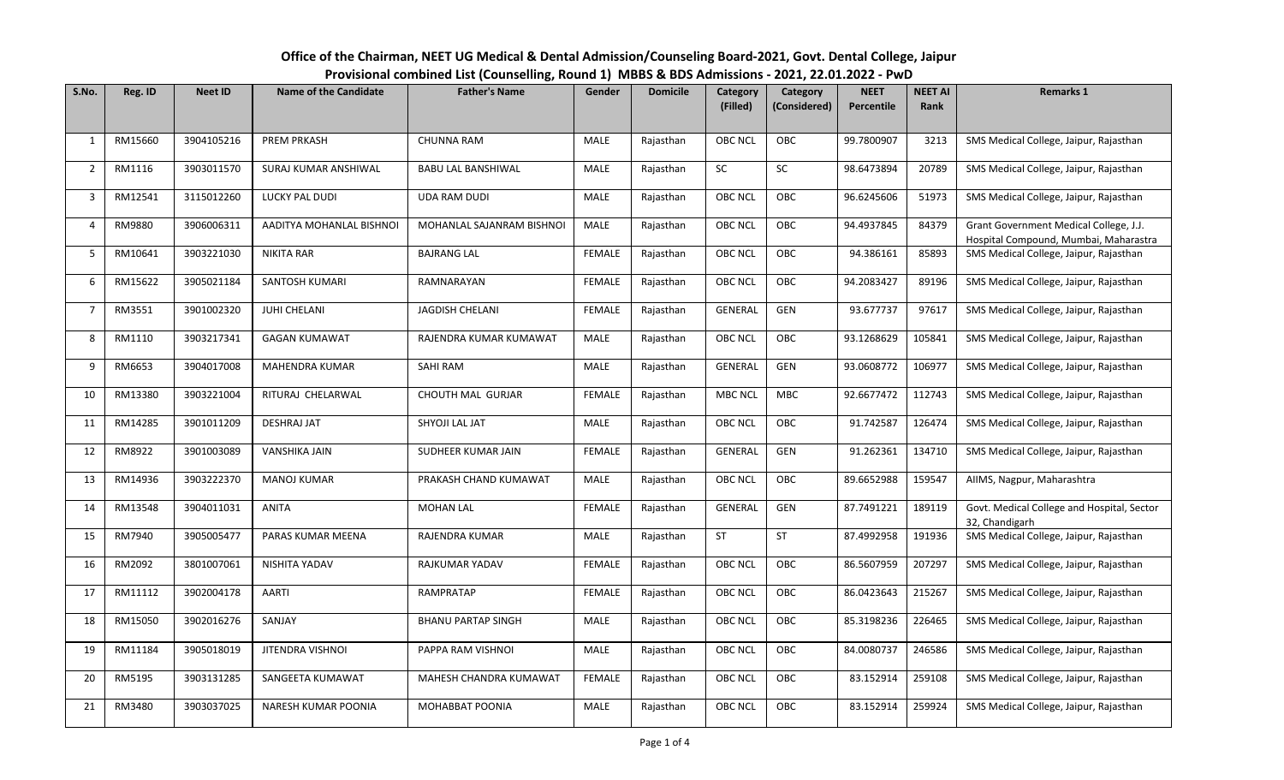| Office of the Chairman, NEET UG Medical & Dental Admission/Counseling Board-2021, Govt. Dental College, Jaipur |
|----------------------------------------------------------------------------------------------------------------|
| Provisional combined List (Counselling, Round 1) MBBS & BDS Admissions - 2021, 22.01.2022 - PwD                |

| S.No.          | Reg. ID | <b>Neet ID</b> | <b>Name of the Candidate</b> | <b>Father's Name</b>      | Gender        | <b>Domicile</b> | Category       | Category     | <b>NEET</b> | <b>NEET AI</b> | <b>Remarks 1</b>                                                                |
|----------------|---------|----------------|------------------------------|---------------------------|---------------|-----------------|----------------|--------------|-------------|----------------|---------------------------------------------------------------------------------|
|                |         |                |                              |                           |               |                 | (Filled)       | (Considered) | Percentile  | Rank           |                                                                                 |
|                |         |                |                              |                           |               |                 |                |              |             |                |                                                                                 |
| -1             | RM15660 | 3904105216     | <b>PREM PRKASH</b>           | <b>CHUNNA RAM</b>         | MALE          | Rajasthan       | <b>OBC NCL</b> | OBC          | 99.7800907  | 3213           | SMS Medical College, Jaipur, Rajasthan                                          |
| $\overline{2}$ | RM1116  | 3903011570     | SURAJ KUMAR ANSHIWAL         | <b>BABU LAL BANSHIWAL</b> | <b>MALE</b>   | Rajasthan       | <b>SC</b>      | <b>SC</b>    | 98.6473894  | 20789          | SMS Medical College, Jaipur, Rajasthan                                          |
| 3              | RM12541 | 3115012260     | <b>LUCKY PAL DUDI</b>        | <b>UDA RAM DUDI</b>       | <b>MALE</b>   | Rajasthan       | <b>OBC NCL</b> | OBC          | 96.6245606  | 51973          | SMS Medical College, Jaipur, Rajasthan                                          |
| 4              | RM9880  | 3906006311     | AADITYA MOHANLAL BISHNOI     | MOHANLAL SAJANRAM BISHNOI | MALE          | Rajasthan       | <b>OBC NCL</b> | OBC          | 94.4937845  | 84379          | Grant Government Medical College, J.J.<br>Hospital Compound, Mumbai, Maharastra |
| 5              | RM10641 | 3903221030     | <b>NIKITA RAR</b>            | <b>BAJRANG LAL</b>        | <b>FEMALE</b> | Rajasthan       | <b>OBC NCL</b> | OBC          | 94.386161   | 85893          | SMS Medical College, Jaipur, Rajasthan                                          |
|                |         |                |                              |                           |               |                 |                |              |             |                |                                                                                 |
| 6              | RM15622 | 3905021184     | SANTOSH KUMARI               | RAMNARAYAN                | <b>FEMALE</b> | Rajasthan       | OBC NCL        | OBC          | 94.2083427  | 89196          | SMS Medical College, Jaipur, Rajasthan                                          |
|                | RM3551  | 3901002320     | <b>JUHI CHELANI</b>          | <b>JAGDISH CHELANI</b>    | <b>FEMALE</b> | Rajasthan       | <b>GENERAL</b> | GEN          | 93.677737   | 97617          | SMS Medical College, Jaipur, Rajasthan                                          |
| 8              | RM1110  | 3903217341     | <b>GAGAN KUMAWAT</b>         | RAJENDRA KUMAR KUMAWAT    | MALE          | Rajasthan       | <b>OBC NCL</b> | OBC          | 93.1268629  | 105841         | SMS Medical College, Jaipur, Rajasthan                                          |
| 9              | RM6653  | 3904017008     | <b>MAHENDRA KUMAR</b>        | <b>SAHI RAM</b>           | <b>MALE</b>   | Rajasthan       | <b>GENERAL</b> | <b>GEN</b>   | 93.0608772  | 106977         | SMS Medical College, Jaipur, Rajasthan                                          |
| 10             | RM13380 | 3903221004     | RITURAJ CHELARWAL            | CHOUTH MAL GURJAR         | <b>FEMALE</b> | Rajasthan       | <b>MBC NCL</b> | MBC          | 92.6677472  | 112743         | SMS Medical College, Jaipur, Rajasthan                                          |
| 11             | RM14285 | 3901011209     | <b>DESHRAJ JAT</b>           | SHYOJI LAL JAT            | MALE          | Rajasthan       | <b>OBC NCL</b> | OBC          | 91.742587   | 126474         | SMS Medical College, Jaipur, Rajasthan                                          |
| 12             | RM8922  | 3901003089     | <b>VANSHIKA JAIN</b>         | SUDHEER KUMAR JAIN        | <b>FEMALE</b> | Rajasthan       | <b>GENERAL</b> | GEN          | 91.262361   | 134710         | SMS Medical College, Jaipur, Rajasthan                                          |
| 13             | RM14936 | 3903222370     | <b>MANOJ KUMAR</b>           | PRAKASH CHAND KUMAWAT     | <b>MALE</b>   | Rajasthan       | <b>OBC NCL</b> | OBC          | 89.6652988  | 159547         | AIIMS, Nagpur, Maharashtra                                                      |
| 14             | RM13548 | 3904011031     | <b>ANITA</b>                 | <b>MOHAN LAL</b>          | <b>FEMALE</b> | Rajasthan       | <b>GENERAL</b> | GEN          | 87.7491221  | 189119         | Govt. Medical College and Hospital, Sector<br>32, Chandigarh                    |
| 15             | RM7940  | 3905005477     | PARAS KUMAR MEENA            | RAJENDRA KUMAR            | <b>MALE</b>   | Rajasthan       | <b>ST</b>      | <b>ST</b>    | 87.4992958  | 191936         | SMS Medical College, Jaipur, Rajasthan                                          |
| 16             | RM2092  | 3801007061     | NISHITA YADAV                | RAJKUMAR YADAV            | <b>FEMALE</b> | Rajasthan       | OBC NCL        | OBC          | 86.5607959  | 207297         | SMS Medical College, Jaipur, Rajasthan                                          |
| 17             | RM11112 | 3902004178     | AARTI                        | <b>RAMPRATAP</b>          | <b>FEMALE</b> | Rajasthan       | <b>OBC NCL</b> | OBC          | 86.0423643  | 215267         | SMS Medical College, Jaipur, Rajasthan                                          |
| 18             | RM15050 | 3902016276     | SANJAY                       | <b>BHANU PARTAP SINGH</b> | MALE          | Rajasthan       | <b>OBC NCL</b> | OBC          | 85.3198236  | 226465         | SMS Medical College, Jaipur, Rajasthan                                          |
| 19             | RM11184 | 3905018019     | JITENDRA VISHNOI             | PAPPA RAM VISHNOI         | <b>MALE</b>   | Rajasthan       | <b>OBC NCL</b> | OBC          | 84.0080737  | 246586         | SMS Medical College, Jaipur, Rajasthan                                          |
| 20             | RM5195  | 3903131285     | SANGEETA KUMAWAT             | MAHESH CHANDRA KUMAWAT    | <b>FEMALE</b> | Rajasthan       | <b>OBC NCL</b> | OBC          | 83.152914   | 259108         | SMS Medical College, Jaipur, Rajasthan                                          |
| 21             | RM3480  | 3903037025     | NARESH KUMAR POONIA          | MOHABBAT POONIA           | <b>MALE</b>   | Rajasthan       | OBC NCL        | <b>OBC</b>   | 83.152914   | 259924         | SMS Medical College, Jaipur, Rajasthan                                          |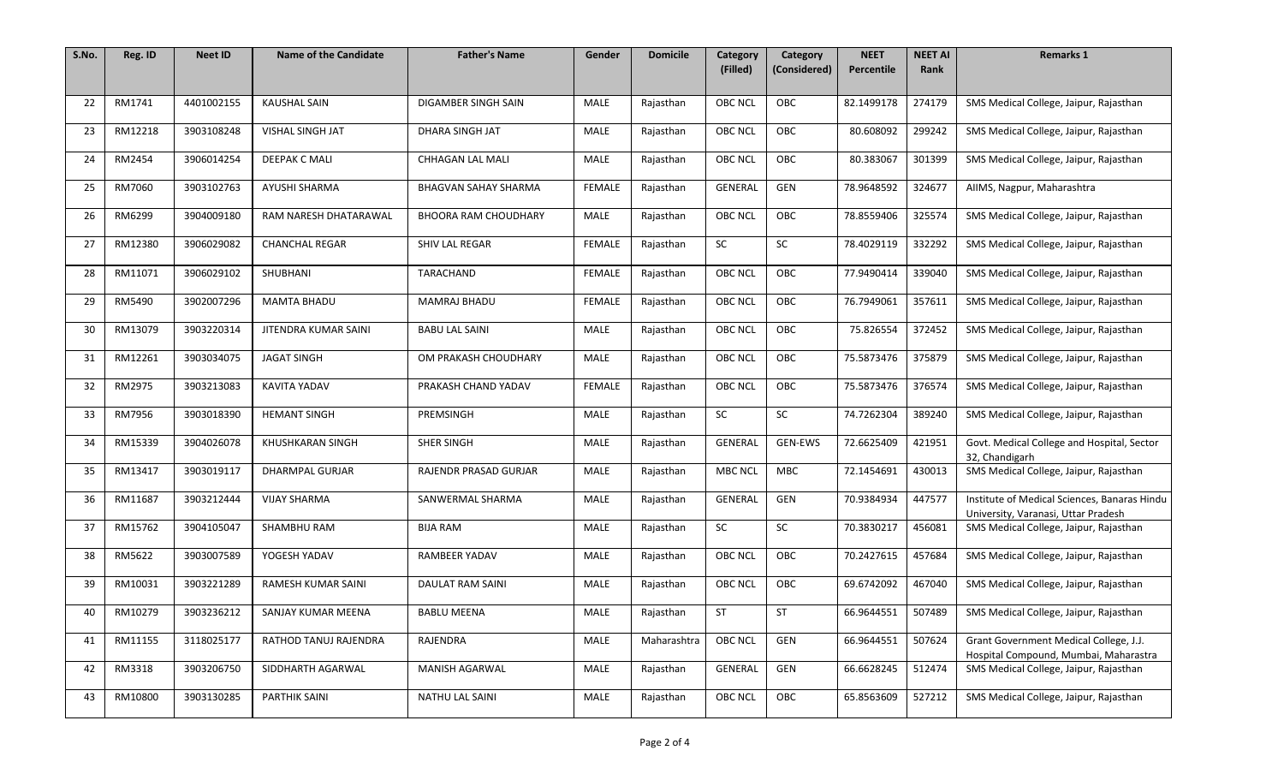| S.No. | Reg. ID | <b>Neet ID</b> | <b>Name of the Candidate</b> | <b>Father's Name</b>        | Gender        | <b>Domicile</b> | Category       | Category       | <b>NEET</b> | <b>NEET AI</b> | <b>Remarks 1</b>                                                                    |
|-------|---------|----------------|------------------------------|-----------------------------|---------------|-----------------|----------------|----------------|-------------|----------------|-------------------------------------------------------------------------------------|
|       |         |                |                              |                             |               |                 | (Filled)       | (Considered)   | Percentile  | Rank           |                                                                                     |
| 22    | RM1741  | 4401002155     | <b>KAUSHAL SAIN</b>          | DIGAMBER SINGH SAIN         | MALE          | Rajasthan       | <b>OBC NCL</b> | <b>OBC</b>     | 82.1499178  | 274179         | SMS Medical College, Jaipur, Rajasthan                                              |
| 23    | RM12218 | 3903108248     | VISHAL SINGH JAT             | <b>DHARA SINGH JAT</b>      | MALE          | Rajasthan       | <b>OBC NCL</b> | OBC            | 80.608092   | 299242         | SMS Medical College, Jaipur, Rajasthan                                              |
| 24    | RM2454  | 3906014254     | DEEPAK C MALI                | CHHAGAN LAL MALI            | MALE          | Rajasthan       | <b>OBC NCL</b> | OBC            | 80.383067   | 301399         | SMS Medical College, Jaipur, Rajasthan                                              |
| 25    | RM7060  | 3903102763     | AYUSHI SHARMA                | <b>BHAGVAN SAHAY SHARMA</b> | <b>FEMALE</b> | Rajasthan       | <b>GENERAL</b> | GEN            | 78.9648592  | 324677         | AIIMS, Nagpur, Maharashtra                                                          |
| 26    | RM6299  | 3904009180     | RAM NARESH DHATARAWAL        | <b>BHOORA RAM CHOUDHARY</b> | MALE          | Rajasthan       | <b>OBC NCL</b> | OBC            | 78.8559406  | 325574         | SMS Medical College, Jaipur, Rajasthan                                              |
| 27    | RM12380 | 3906029082     | <b>CHANCHAL REGAR</b>        | SHIV LAL REGAR              | <b>FEMALE</b> | Rajasthan       | ${\sf SC}$     | SC             | 78.4029119  | 332292         | SMS Medical College, Jaipur, Rajasthan                                              |
| 28    | RM11071 | 3906029102     | SHUBHANI                     | TARACHAND                   | <b>FEMALE</b> | Rajasthan       | <b>OBC NCL</b> | OBC            | 77.9490414  | 339040         | SMS Medical College, Jaipur, Rajasthan                                              |
| 29    | RM5490  | 3902007296     | <b>MAMTA BHADU</b>           | <b>MAMRAJ BHADU</b>         | <b>FEMALE</b> | Rajasthan       | <b>OBC NCL</b> | OBC            | 76.7949061  | 357611         | SMS Medical College, Jaipur, Rajasthan                                              |
| 30    | RM13079 | 3903220314     | JITENDRA KUMAR SAINI         | <b>BABU LAL SAINI</b>       | MALE          | Rajasthan       | <b>OBC NCL</b> | OBC            | 75.826554   | 372452         | SMS Medical College, Jaipur, Rajasthan                                              |
| 31    | RM12261 | 3903034075     | <b>JAGAT SINGH</b>           | OM PRAKASH CHOUDHARY        | MALE          | Rajasthan       | <b>OBC NCL</b> | OBC            | 75.5873476  | 375879         | SMS Medical College, Jaipur, Rajasthan                                              |
| 32    | RM2975  | 3903213083     | KAVITA YADAV                 | PRAKASH CHAND YADAV         | <b>FEMALE</b> | Rajasthan       | <b>OBC NCL</b> | OBC            | 75.5873476  | 376574         | SMS Medical College, Jaipur, Rajasthan                                              |
| 33    | RM7956  | 3903018390     | <b>HEMANT SINGH</b>          | PREMSINGH                   | MALE          | Rajasthan       | SC             | <b>SC</b>      | 74.7262304  | 389240         | SMS Medical College, Jaipur, Rajasthan                                              |
| 34    | RM15339 | 3904026078     | <b>KHUSHKARAN SINGH</b>      | SHER SINGH                  | MALE          | Rajasthan       | GENERAL        | <b>GEN-EWS</b> | 72.6625409  | 421951         | Govt. Medical College and Hospital, Sector<br>32, Chandigarh                        |
| 35    | RM13417 | 3903019117     | DHARMPAL GURJAR              | RAJENDR PRASAD GURJAR       | <b>MALE</b>   | Rajasthan       | <b>MBC NCL</b> | <b>MBC</b>     | 72.1454691  | 430013         | SMS Medical College, Jaipur, Rajasthan                                              |
| 36    | RM11687 | 3903212444     | <b>VIJAY SHARMA</b>          | SANWERMAL SHARMA            | MALE          | Rajasthan       | GENERAL        | GEN            | 70.9384934  | 447577         | Institute of Medical Sciences, Banaras Hindu<br>University, Varanasi, Uttar Pradesh |
| 37    | RM15762 | 3904105047     | SHAMBHU RAM                  | <b>BIJA RAM</b>             | MALE          | Rajasthan       | <b>SC</b>      | <b>SC</b>      | 70.3830217  | 456081         | SMS Medical College, Jaipur, Rajasthan                                              |
| 38    | RM5622  | 3903007589     | YOGESH YADAV                 | RAMBEER YADAV               | MALE          | Rajasthan       | <b>OBC NCL</b> | OBC            | 70.2427615  | 457684         | SMS Medical College, Jaipur, Rajasthan                                              |
| 39    | RM10031 | 3903221289     | RAMESH KUMAR SAINI           | <b>DAULAT RAM SAINI</b>     | MALE          | Rajasthan       | <b>OBC NCL</b> | OBC            | 69.6742092  | 467040         | SMS Medical College, Jaipur, Rajasthan                                              |
| 40    | RM10279 | 3903236212     | SANJAY KUMAR MEENA           | <b>BABLU MEENA</b>          | MALE          | Rajasthan       | <b>ST</b>      | <b>ST</b>      | 66.9644551  | 507489         | SMS Medical College, Jaipur, Rajasthan                                              |
| 41    | RM11155 | 3118025177     | RATHOD TANUJ RAJENDRA        | RAJENDRA                    | <b>MALE</b>   | Maharashtra     | <b>OBC NCL</b> | GEN            | 66.9644551  | 507624         | Grant Government Medical College, J.J.<br>Hospital Compound, Mumbai, Maharastra     |
| 42    | RM3318  | 3903206750     | SIDDHARTH AGARWAL            | <b>MANISH AGARWAL</b>       | <b>MALE</b>   | Rajasthan       | GENERAL        | GEN            | 66.6628245  | 512474         | SMS Medical College, Jaipur, Rajasthan                                              |
| 43    | RM10800 | 3903130285     | <b>PARTHIK SAINI</b>         | NATHU LAL SAINI             | <b>MALE</b>   | Rajasthan       | OBC NCL        | OBC            | 65.8563609  | 527212         | SMS Medical College, Jaipur, Rajasthan                                              |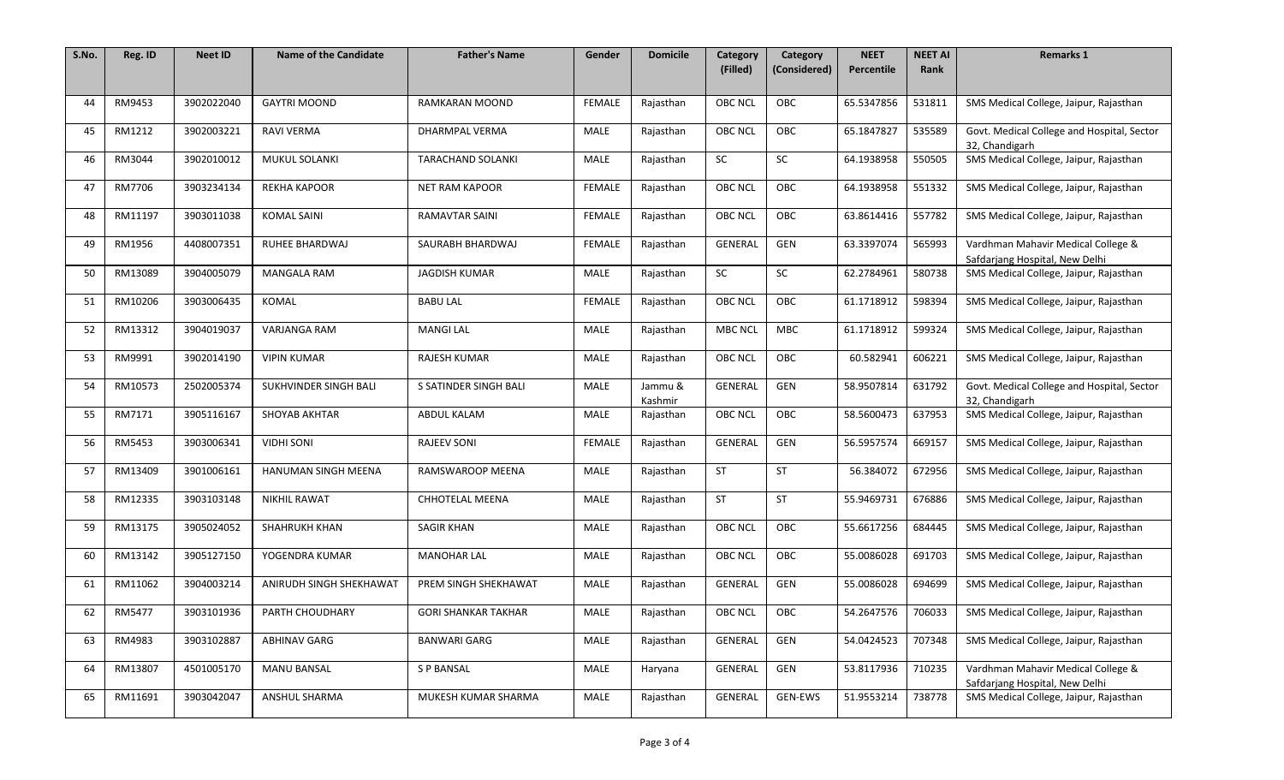| S.No. | Reg. ID | <b>Neet ID</b> | <b>Name of the Candidate</b> | <b>Father's Name</b>       | Gender        | <b>Domicile</b>    | Category<br>(Filled) | Category<br>(Considered) | <b>NEET</b><br><b>Percentile</b> | <b>NEET AI</b><br>Rank | <b>Remarks 1</b>                                                     |
|-------|---------|----------------|------------------------------|----------------------------|---------------|--------------------|----------------------|--------------------------|----------------------------------|------------------------|----------------------------------------------------------------------|
|       |         |                |                              |                            |               |                    |                      |                          |                                  |                        |                                                                      |
| 44    | RM9453  | 3902022040     | <b>GAYTRI MOOND</b>          | RAMKARAN MOOND             | <b>FEMALE</b> | Rajasthan          | <b>OBC NCL</b>       | <b>OBC</b>               | 65.5347856                       | 531811                 | SMS Medical College, Jaipur, Rajasthan                               |
| 45    | RM1212  | 3902003221     | <b>RAVI VERMA</b>            | DHARMPAL VERMA             | <b>MALE</b>   | Rajasthan          | OBC NCL              | OBC                      | 65.1847827                       | 535589                 | Govt. Medical College and Hospital, Sector<br>32, Chandigarh         |
| 46    | RM3044  | 3902010012     | MUKUL SOLANKI                | <b>TARACHAND SOLANKI</b>   | <b>MALE</b>   | Rajasthan          | SC                   | SC                       | 64.1938958                       | 550505                 | SMS Medical College, Jaipur, Rajasthan                               |
| 47    | RM7706  | 3903234134     | <b>REKHA KAPOOR</b>          | <b>NET RAM KAPOOR</b>      | <b>FEMALE</b> | Rajasthan          | <b>OBC NCL</b>       | <b>OBC</b>               | 64.1938958                       | 551332                 | SMS Medical College, Jaipur, Rajasthan                               |
| 48    | RM11197 | 3903011038     | <b>KOMAL SAINI</b>           | <b>RAMAVTAR SAINI</b>      | <b>FEMALE</b> | Rajasthan          | <b>OBC NCL</b>       | OBC                      | 63.8614416                       | 557782                 | SMS Medical College, Jaipur, Rajasthan                               |
| 49    | RM1956  | 4408007351     | RUHEE BHARDWAJ               | SAURABH BHARDWAJ           | <b>FEMALE</b> | Rajasthan          | <b>GENERAL</b>       | GEN                      | 63.3397074                       | 565993                 | Vardhman Mahavir Medical College &<br>Safdarjang Hospital, New Delhi |
| 50    | RM13089 | 3904005079     | <b>MANGALA RAM</b>           | <b>JAGDISH KUMAR</b>       | <b>MALE</b>   | Rajasthan          | <b>SC</b>            | SC                       | 62.2784961                       | 580738                 | SMS Medical College, Jaipur, Rajasthan                               |
| 51    | RM10206 | 3903006435     | <b>KOMAL</b>                 | <b>BABU LAL</b>            | <b>FEMALE</b> | Rajasthan          | <b>OBC NCL</b>       | OBC                      | 61.1718912                       | 598394                 | SMS Medical College, Jaipur, Rajasthan                               |
| 52    | RM13312 | 3904019037     | VARJANGA RAM                 | <b>MANGI LAL</b>           | <b>MALE</b>   | Rajasthan          | <b>MBC NCL</b>       | <b>MBC</b>               | 61.1718912                       | 599324                 | SMS Medical College, Jaipur, Rajasthan                               |
| 53    | RM9991  | 3902014190     | <b>VIPIN KUMAR</b>           | <b>RAJESH KUMAR</b>        | <b>MALE</b>   | Rajasthan          | <b>OBC NCL</b>       | OBC                      | 60.582941                        | 606221                 | SMS Medical College, Jaipur, Rajasthan                               |
| 54    | RM10573 | 2502005374     | SUKHVINDER SINGH BALI        | S SATINDER SINGH BALI      | <b>MALE</b>   | Jammu &<br>Kashmir | GENERAL              | GEN                      | 58.9507814                       | 631792                 | Govt. Medical College and Hospital, Sector<br>32, Chandigarh         |
| 55    | RM7171  | 3905116167     | <b>SHOYAB AKHTAR</b>         | <b>ABDUL KALAM</b>         | <b>MALE</b>   | Rajasthan          | OBC NCL              | OBC                      | 58.5600473                       | 637953                 | SMS Medical College, Jaipur, Rajasthan                               |
| 56    | RM5453  | 3903006341     | <b>VIDHI SONI</b>            | <b>RAJEEV SONI</b>         | <b>FEMALE</b> | Rajasthan          | GENERAL              | GEN                      | 56.5957574                       | 669157                 | SMS Medical College, Jaipur, Rajasthan                               |
| 57    | RM13409 | 3901006161     | HANUMAN SINGH MEENA          | RAMSWAROOP MEENA           | <b>MALE</b>   | Rajasthan          | <b>ST</b>            | <b>ST</b>                | 56.384072                        | 672956                 | SMS Medical College, Jaipur, Rajasthan                               |
| 58    | RM12335 | 3903103148     | <b>NIKHIL RAWAT</b>          | CHHOTELAL MEENA            | <b>MALE</b>   | Rajasthan          | <b>ST</b>            | <b>ST</b>                | 55.9469731                       | 676886                 | SMS Medical College, Jaipur, Rajasthan                               |
| 59    | RM13175 | 3905024052     | <b>SHAHRUKH KHAN</b>         | <b>SAGIR KHAN</b>          | <b>MALE</b>   | Rajasthan          | <b>OBC NCL</b>       | OBC                      | 55.6617256                       | 684445                 | SMS Medical College, Jaipur, Rajasthan                               |
| 60    | RM13142 | 3905127150     | YOGENDRA KUMAR               | <b>MANOHAR LAL</b>         | <b>MALE</b>   | Rajasthan          | <b>OBC NCL</b>       | OBC                      | 55.0086028                       | 691703                 | SMS Medical College, Jaipur, Rajasthan                               |
| 61    | RM11062 | 3904003214     | ANIRUDH SINGH SHEKHAWAT      | PREM SINGH SHEKHAWAT       | <b>MALE</b>   | Rajasthan          | GENERAL              | GEN                      | 55.0086028                       | 694699                 | SMS Medical College, Jaipur, Rajasthan                               |
| 62    | RM5477  | 3903101936     | PARTH CHOUDHARY              | <b>GORI SHANKAR TAKHAR</b> | <b>MALE</b>   | Rajasthan          | <b>OBC NCL</b>       | OBC                      | 54.2647576                       | 706033                 | SMS Medical College, Jaipur, Rajasthan                               |
| 63    | RM4983  | 3903102887     | <b>ABHINAV GARG</b>          | <b>BANWARI GARG</b>        | <b>MALE</b>   | Rajasthan          | GENERAL              | GEN                      | 54.0424523                       | 707348                 | SMS Medical College, Jaipur, Rajasthan                               |
| 64    | RM13807 | 4501005170     | MANU BANSAL                  | <b>SP BANSAL</b>           | <b>MALE</b>   | Haryana            | GENERAL              | GEN                      | 53.8117936                       | 710235                 | Vardhman Mahavir Medical College &<br>Safdarjang Hospital, New Delhi |
| 65    | RM11691 | 3903042047     | ANSHUL SHARMA                | MUKESH KUMAR SHARMA        | MALE          | Rajasthan          | GENERAL              | GEN-EWS                  | 51.9553214                       | 738778                 | SMS Medical College, Jaipur, Rajasthan                               |